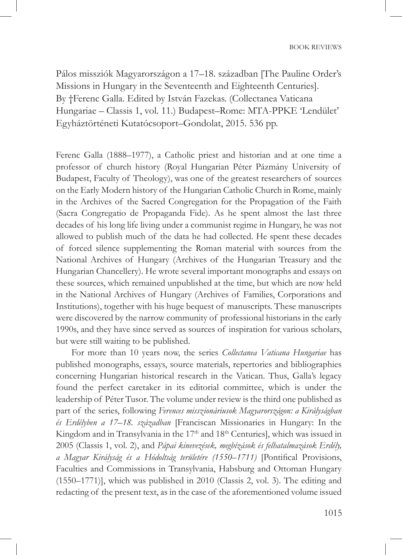Pálos missziók Magyarországon a 17–18. században [The Pauline Order's Missions in Hungary in the Seventeenth and Eighteenth Centuries]. By †Ferenc Galla. Edited by István Fazekas. (Collectanea Vaticana Hungariae – Classis 1, vol. 11.) Budapest–Rome: MTA-PPKE 'Lendület' Egyháztörténeti Kutatócsoport–Gondolat, 2015. 536 pp.

Ferenc Galla (1888–1977), a Catholic priest and historian and at one time a professor of church history (Royal Hungarian Péter Pázmány University of Budapest, Faculty of Theology), was one of the greatest researchers of sources on the Early Modern history of the Hungarian Catholic Church in Rome, mainly in the Archives of the Sacred Congregation for the Propagation of the Faith (Sacra Congregatio de Propaganda Fide). As he spent almost the last three decades of his long life living under a communist regime in Hungary, he was not allowed to publish much of the data he had collected. He spent these decades of forced silence supplementing the Roman material with sources from the National Archives of Hungary (Archives of the Hungarian Treasury and the Hungarian Chancellery). He wrote several important monographs and essays on these sources, which remained unpublished at the time, but which are now held in the National Archives of Hungary (Archives of Families, Corporations and Institutions), together with his huge bequest of manuscripts. These manuscripts were discovered by the narrow community of professional historians in the early 1990s, and they have since served as sources of inspiration for various scholars, but were still waiting to be published.

For more than 10 years now, the series *Collectanea Vaticana Hungariae* has published monographs, essays, source materials, repertories and bibliographies concerning Hungarian historical research in the Vatican. Thus, Galla's legacy found the perfect caretaker in its editorial committee, which is under the leadership of Péter Tusor. The volume under review is the third one published as part of the series, following *Ferences misszionáriusok Magyarországon: a Királyságban és Erdélyben a 17–18. században* [Franciscan Missionaries in Hungary: In the Kingdom and in Transylvania in the  $17<sup>th</sup>$  and  $18<sup>th</sup>$  Centuries], which was issued in 2005 (Classis 1, vol. 2), and *Pápai kinevezések, megbízások és felhatalmazások Erdély,*  a Magyar Királyság és a Hódoltság területére (1550–1711) [Pontifical Provisions, Faculties and Commissions in Transylvania, Habsburg and Ottoman Hungary (1550–1771)], which was published in 2010 (Classis 2, vol. 3). The editing and redacting of the present text, as in the case of the aforementioned volume issued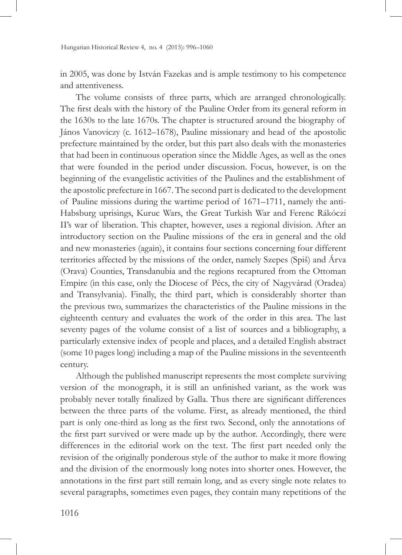Hungarian Historical Review 4, no. 4 (2015): 996–1060

in 2005, was done by István Fazekas and is ample testimony to his competence and attentiveness.

The volume consists of three parts, which are arranged chronologically. The first deals with the history of the Pauline Order from its general reform in the 1630s to the late 1670s. The chapter is structured around the biography of János Vanoviczy (c. 1612–1678), Pauline missionary and head of the apostolic prefecture maintained by the order, but this part also deals with the monasteries that had been in continuous operation since the Middle Ages, as well as the ones that were founded in the period under discussion. Focus, however, is on the beginning of the evangelistic activities of the Paulines and the establishment of the apostolic prefecture in 1667. The second part is dedicated to the development of Pauline missions during the wartime period of 1671–1711, namely the anti-Habsburg uprisings, Kuruc Wars, the Great Turkish War and Ferenc Rákóczi II's war of liberation. This chapter, however, uses a regional division. After an introductory section on the Pauline missions of the era in general and the old and new monasteries (again), it contains four sections concerning four different territories affected by the missions of the order, namely Szepes (Spiš) and Árva (Orava) Counties, Transdanubia and the regions recaptured from the Ottoman Empire (in this case, only the Diocese of Pécs, the city of Nagyvárad (Oradea) and Transylvania). Finally, the third part, which is considerably shorter than the previous two, summarizes the characteristics of the Pauline missions in the eighteenth century and evaluates the work of the order in this area. The last seventy pages of the volume consist of a list of sources and a bibliography, a particularly extensive index of people and places, and a detailed English abstract (some 10 pages long) including a map of the Pauline missions in the seventeenth century.

Although the published manuscript represents the most complete surviving version of the monograph, it is still an unfinished variant, as the work was probably never totally finalized by Galla. Thus there are significant differences between the three parts of the volume. First, as already mentioned, the third part is only one-third as long as the first two. Second, only the annotations of the first part survived or were made up by the author. Accordingly, there were differences in the editorial work on the text. The first part needed only the revision of the originally ponderous style of the author to make it more flowing and the division of the enormously long notes into shorter ones. However, the annotations in the first part still remain long, and as every single note relates to several paragraphs, sometimes even pages, they contain many repetitions of the